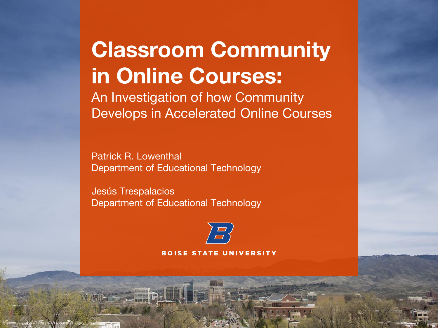### **Classroom Community in Online Courses:**

An Investigation of how Community Develops in Accelerated Online Courses

Patrick R. Lowenthal Department of Educational Technology

Jesús Trespalacios Department of Educational Technology

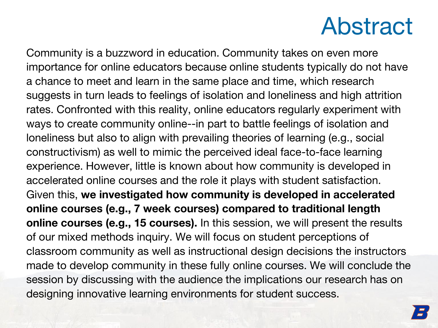### Abstract

Community is a buzzword in education. Community takes on even more importance for online educators because online students typically do not have a chance to meet and learn in the same place and time, which research suggests in turn leads to feelings of isolation and loneliness and high attrition rates. Confronted with this reality, online educators regularly experiment with ways to create community online--in part to battle feelings of isolation and loneliness but also to align with prevailing theories of learning (e.g., social constructivism) as well to mimic the perceived ideal face-to-face learning experience. However, little is known about how community is developed in accelerated online courses and the role it plays with student satisfaction. Given this, **we investigated how community is developed in accelerated online courses (e.g., 7 week courses) compared to traditional length online courses (e.g., 15 courses).** In this session, we will present the results of our mixed methods inquiry. We will focus on student perceptions of classroom community as well as instructional design decisions the instructors made to develop community in these fully online courses. We will conclude the session by discussing with the audience the implications our research has on designing innovative learning environments for student success.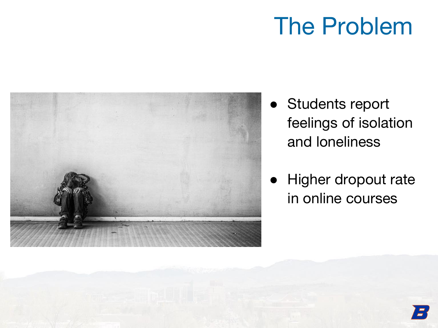### The Problem



- Students report feelings of isolation and loneliness
- Higher dropout rate in online courses

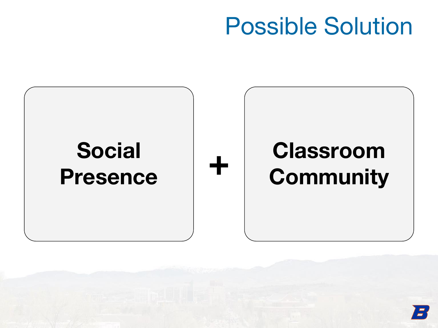### Possible Solution



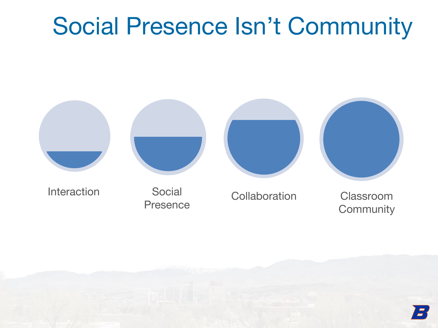### Social Presence Isn't Community



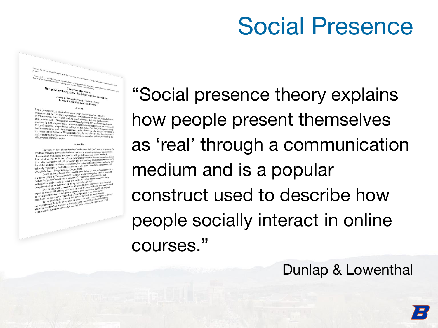### Social Presence

Our quest for the right mix of Social distribution and contract and the state of the right mix of Social distribution and contract and contract and contract distribution of  $\epsilon$ . Joanna C. Dunlap, University of Colorado Denver<br>Patrick R. Lowenthal, Boise State University Saima C. Dunlap, University of Colorado I<br>Patrick R. Lowenthal, Boise State Univer

Abstract<br>
Communication medium and is a popular present themselves as "real" through a<br>
in online courses. Because of its inputiar construct used to describe how poor<br>
in online courses. Because of its inhition can<br>
Show t Notal presence theory explains how people present themselves as "real" through a<br>Communication medium and is a popular construction and the special constraints in continue courses. Because of its imainly appear constraints years we ve tried many strategies—from rich threaded discussions to personal cne-cn-on<br>to digital stories to using social networking tools like Twitter. Over time, we began one-cn-on<br>how students perceive all of the strate For using social networking tools like Twitter. Over time, we have one one only be that the state of the strategies we use (in other words, what strategies were leading the most bang for our buck). This case study shares t the most bang for our buck). This case study shares the story of our quest for the social present<br>grail—from the strategies we use in our courses, to our research on students' perceptions of the<br>effectiveness of these stra effectiveness of these strategies.

#### Introduction

For years, we have collected students' stories about their "best" learning experiences. The For years, we have collected state-from the control of the state of the state of the state of energies potentials. The control of the state of the state of the state of the state of the state of the state of the state of For years, we have conected students stores about their best coming expansion.<br>
results of analyzing these stories has been consistent in terms of what students see as important<br>  $\frac{1}{2}$  in terms of the stores (Draba &

"Social presence theory explains how people present themselves as 'real' through a communication medium and is a popular construct used to describe how people socially interact in online courses."

### Dunlap & Lowenthal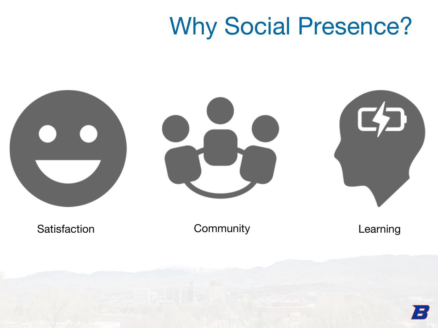### Why Social Presence?

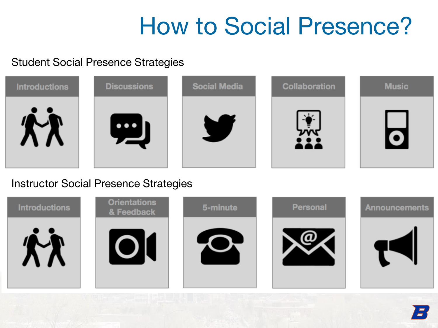### How to Social Presence?

#### Student Social Presence Strategies

| <b>Introductions</b> | <b>Discussions</b>      | <b>Social Media</b> | <b>Collaboration</b> | <b>Music</b> |
|----------------------|-------------------------|---------------------|----------------------|--------------|
|                      | $\bullet\bullet\bullet$ |                     | $\sim$               |              |

#### Instructor Social Presence Strategies

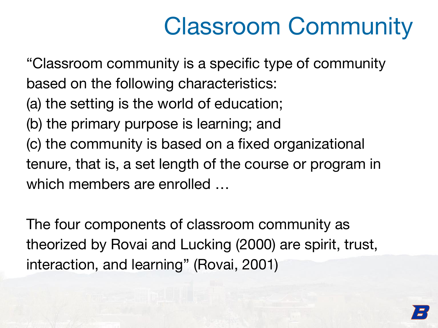# Classroom Community

"Classroom community is a specific type of community

based on the following characteristics:

- (a) the setting is the world of education;
- (b) the primary purpose is learning; and
- (c) the community is based on a fixed organizational tenure, that is, a set length of the course or program in which members are enrolled …

The four components of classroom community as theorized by Rovai and Lucking (2000) are spirit, trust, interaction, and learning" (Rovai, 2001)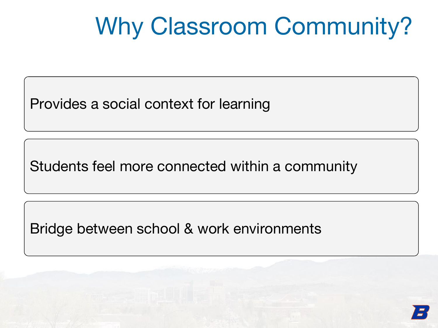# Why Classroom Community?

Provides a social context for learning

Students feel more connected within a community

Bridge between school & work environments

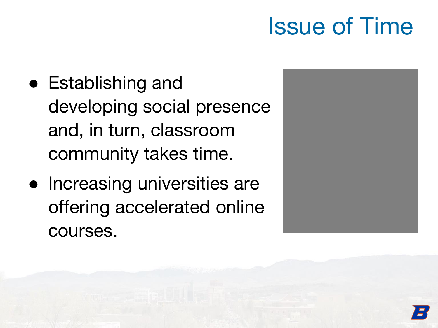### Issue of Time

- Establishing and developing social presence and, in turn, classroom community takes time.
- Increasing universities are offering accelerated online courses.

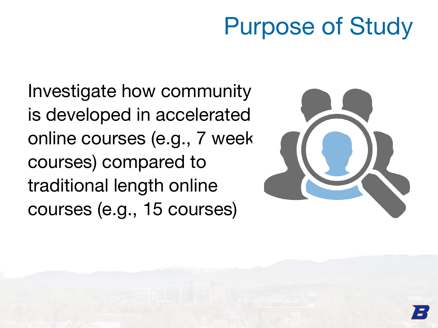### Purpose of Study

Investigate how community is developed in accelerated online courses (e.g., 7 week courses) compared to traditional length online courses (e.g., 15 courses)

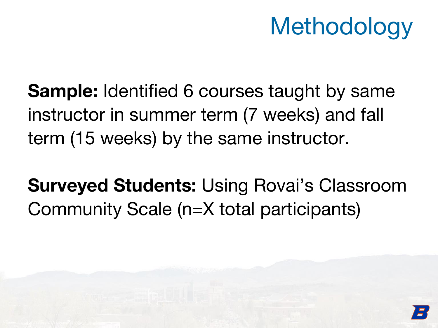## **Methodology**

**Sample:** Identified 6 courses taught by same instructor in summer term (7 weeks) and fall term (15 weeks) by the same instructor.

**Surveyed Students:** Using Rovai's Classroom Community Scale (n=X total participants)

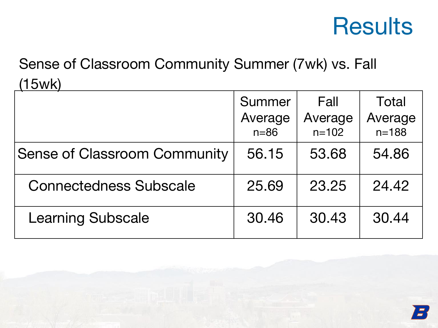### **Results**

### Sense of Classroom Community Summer (7wk) vs. Fall (15wk)

|                                     | Summer<br>Average<br>$n=86$ | Fall<br>Average<br>$n = 102$ | Total<br>Average<br>$n = 188$ |
|-------------------------------------|-----------------------------|------------------------------|-------------------------------|
| <b>Sense of Classroom Community</b> | 56.15                       | 53.68                        | 54.86                         |
| <b>Connectedness Subscale</b>       | 25.69                       | 23.25                        | 24.42                         |
| <b>Learning Subscale</b>            | 30.46                       | 30.43                        | 30.44                         |

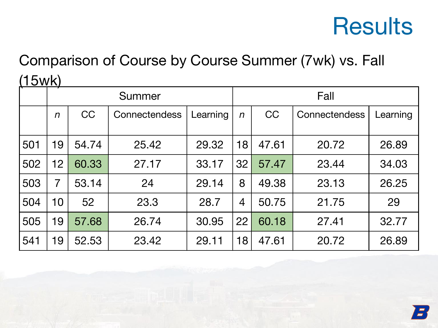### **Results**

### Comparison of Course by Course Summer (7wk) vs. Fall (15wk)

|     | Summer       |           |               | Fall     |                  |           |               |          |
|-----|--------------|-----------|---------------|----------|------------------|-----------|---------------|----------|
|     | $\mathsf{n}$ | <b>CC</b> | Connectendess | Learning | $\boldsymbol{n}$ | <b>CC</b> | Connectendess | Learning |
| 501 | 19           | 54.74     | 25.42         | 29.32    | 18               | 47.61     | 20.72         | 26.89    |
| 502 | 12           | 60.33     | 27.17         | 33.17    | 32               | 57.47     | 23.44         | 34.03    |
| 503 | 7            | 53.14     | 24            | 29.14    | 8                | 49.38     | 23.13         | 26.25    |
| 504 | 10           | 52        | 23.3          | 28.7     | 4                | 50.75     | 21.75         | 29       |
| 505 | 19           | 57.68     | 26.74         | 30.95    | 22               | 60.18     | 27.41         | 32.77    |
| 541 | 19           | 52.53     | 23.42         | 29.11    | 18               | 47.61     | 20.72         | 26.89    |